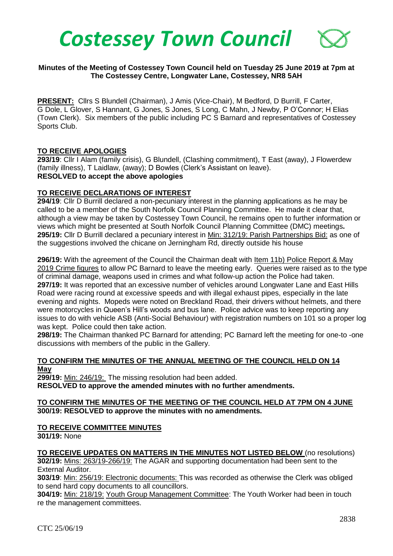

## **Minutes of the Meeting of Costessey Town Council held on Tuesday 25 June 2019 at 7pm at The Costessey Centre, Longwater Lane, Costessey, NR8 5AH**

**PRESENT:** Cllrs S Blundell (Chairman), J Amis (Vice-Chair), M Bedford, D Burrill, F Carter, G Dole, L Glover, S Hannant, G Jones, S Jones, S Long, C Mahn, J Newby, P O'Connor; H Elias (Town Clerk). Six members of the public including PC S Barnard and representatives of Costessey Sports Club.

## **TO RECEIVE APOLOGIES**

**293/19**: Cllr I Alam (family crisis), G Blundell, (Clashing commitment), T East (away), J Flowerdew (family illness), T Laidlaw, (away); D Bowles (Clerk's Assistant on leave). **RESOLVED to accept the above apologies**

#### **TO RECEIVE DECLARATIONS OF INTEREST**

**294/19**: Cllr D Burrill declared a non-pecuniary interest in the planning applications as he may be called to be a member of the South Norfolk Council Planning Committee. He made it clear that, although a view may be taken by Costessey Town Council, he remains open to further information or views which might be presented at South Norfolk Council Planning Committee (DMC) meetings**. 295/19:** Cllr D Burrill declared a pecuniary interest in Min: 312/19: Parish Partnerships Bid: as one of the suggestions involved the chicane on Jerningham Rd, directly outside his house

**296/19:** With the agreement of the Council the Chairman dealt with Item 11b) Police Report & May 2019 Crime figures to allow PC Barnard to leave the meeting early. Queries were raised as to the type of criminal damage, weapons used in crimes and what follow-up action the Police had taken. **297/19:** It was reported that an excessive number of vehicles around Longwater Lane and East Hills Road were racing round at excessive speeds and with illegal exhaust pipes, especially in the late evening and nights. Mopeds were noted on Breckland Road, their drivers without helmets, and there were motorcycles in Queen's Hill's woods and bus lane. Police advice was to keep reporting any issues to do with vehicle ASB (Anti-Social Behaviour) with registration numbers on 101 so a proper log was kept. Police could then take action.

**298/19:** The Chairman thanked PC Barnard for attending; PC Barnard left the meeting for one-to -one discussions with members of the public in the Gallery.

#### **TO CONFIRM THE MINUTES OF THE ANNUAL MEETING OF THE COUNCIL HELD ON 14 May**

**299/19:** Min: 246/19: The missing resolution had been added. **RESOLVED to approve the amended minutes with no further amendments.** 

#### **TO CONFIRM THE MINUTES OF THE MEETING OF THE COUNCIL HELD AT 7PM ON 4 JUNE 300/19: RESOLVED to approve the minutes with no amendments.**

#### **TO RECEIVE COMMITTEE MINUTES 301/19:** None

**TO RECEIVE UPDATES ON MATTERS IN THE MINUTES NOT LISTED BELOW** (no resolutions) **302/19:** Mins: 263/19-266/19: The AGAR and supporting documentation had been sent to the External Auditor.

**303/19**: Min: 256/19: Electronic documents: This was recorded as otherwise the Clerk was obliged to send hard copy documents to all councillors.

**304/19:** Min: 218/19: Youth Group Management Committee: The Youth Worker had been in touch re the management committees.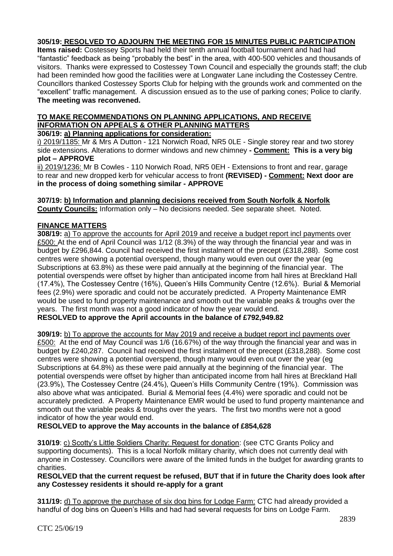# **305/19: RESOLVED TO ADJOURN THE MEETING FOR 15 MINUTES PUBLIC PARTICIPATION**

**Items raised:** Costessey Sports had held their tenth annual football tournament and had had "fantastic" feedback as being "probably the best" in the area, with 400-500 vehicles and thousands of visitors. Thanks were expressed to Costessey Town Council and especially the grounds staff; the club had been reminded how good the facilities were at Longwater Lane including the Costessey Centre. Councillors thanked Costessey Sports Club for helping with the grounds work and commented on the "excellent" traffic management. A discussion ensued as to the use of parking cones; Police to clarify. **The meeting was reconvened.**

# **TO MAKE RECOMMENDATIONS ON PLANNING APPLICATIONS, AND RECEIVE INFORMATION ON APPEALS & OTHER PLANNING MATTERS**

# **306/19: a) Planning applications for consideration:**

i) 2019/1185: Mr & Mrs A Dutton - 121 Norwich Road, NR5 0LE - Single storey rear and two storey side extensions. Alterations to dormer windows and new chimney **- Comment: This is a very big plot – APPROVE**

ii) 2019/1236: Mr B Cowles - 110 Norwich Road, NR5 0EH - Extensions to front and rear, garage to rear and new dropped kerb for vehicular access to front **(REVISED) - Comment: Next door are in the process of doing something similar - APPROVE**

**307/19: b) Information and planning decisions received from South Norfolk & Norfolk County Councils:** Information only – No decisions needed. See separate sheet. Noted.

## **FINANCE MATTERS**

**308/19:** a) To approve the accounts for April 2019 and receive a budget report incl payments over £500: At the end of April Council was 1/12 (8.3%) of the way through the financial year and was in budget by £296,844. Council had received the first instalment of the precept (£318,288). Some cost centres were showing a potential overspend, though many would even out over the year (eg Subscriptions at 63.8%) as these were paid annually at the beginning of the financial year. The potential overspends were offset by higher than anticipated income from hall hires at Breckland Hall (17.4%), The Costessey Centre (16%), Queen's Hills Community Centre (12.6%). Burial & Memorial fees (2.9%) were sporadic and could not be accurately predicted. A Property Maintenance EMR would be used to fund property maintenance and smooth out the variable peaks & troughs over the years. The first month was not a good indicator of how the year would end.

**RESOLVED to approve the April accounts in the balance of £792,949.82**

**309/19:** b) To approve the accounts for May 2019 and receive a budget report incl payments over £500: At the end of May Council was 1/6 (16.67%) of the way through the financial year and was in budget by £240,287. Council had received the first instalment of the precept (£318,288). Some cost centres were showing a potential overspend, though many would even out over the year (eg Subscriptions at 64.8%) as these were paid annually at the beginning of the financial year. The potential overspends were offset by higher than anticipated income from hall hires at Breckland Hall (23.9%), The Costessey Centre (24.4%), Queen's Hills Community Centre (19%). Commission was also above what was anticipated. Burial & Memorial fees (4.4%) were sporadic and could not be accurately predicted. A Property Maintenance EMR would be used to fund property maintenance and smooth out the variable peaks & troughs over the years. The first two months were not a good indicator of how the year would end.

**RESOLVED to approve the May accounts in the balance of £854,628**

**310/19**: c) Scotty's Little Soldiers Charity: Request for donation: (see CTC Grants Policy and supporting documents). This is a local Norfolk military charity, which does not currently deal with anyone in Costessey. Councillors were aware of the limited funds in the budget for awarding grants to charities.

**RESOLVED that the current request be refused, BUT that if in future the Charity does look after any Costessey residents it should re-apply for a grant**

**311/19:** d) To approve the purchase of six dog bins for Lodge Farm: CTC had already provided a handful of dog bins on Queen's Hills and had had several requests for bins on Lodge Farm.